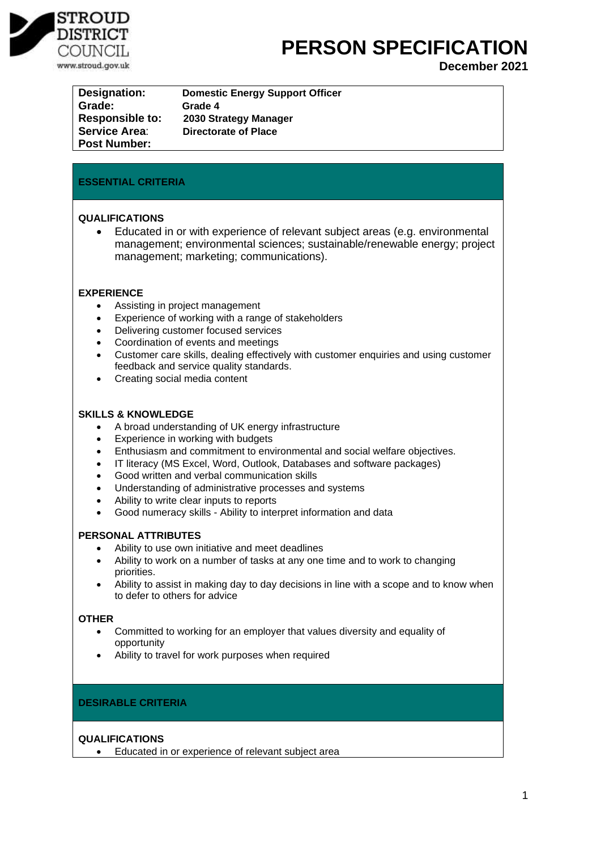

# **PERSON SPECIFICATION**

**December 2021**

| <b>Designation:</b>    | <b>Domestic Energy Support Officer</b> |
|------------------------|----------------------------------------|
| Grade:                 | Grade 4                                |
| <b>Responsible to:</b> | 2030 Strategy Manager                  |
| <b>Service Area:</b>   | Directorate of Place                   |
| <b>Post Number:</b>    |                                        |

## **ESSENTIAL CRITERIA**

#### **QUALIFICATIONS**

• Educated in or with experience of relevant subject areas (e.g. environmental management; environmental sciences; sustainable/renewable energy; project management; marketing; communications).

#### **EXPERIENCE**

- Assisting in project management
- Experience of working with a range of stakeholders
- Delivering customer focused services
- Coordination of events and meetings
- Customer care skills, dealing effectively with customer enquiries and using customer feedback and service quality standards.
- Creating social media content

#### **SKILLS & KNOWLEDGE**

- A broad understanding of UK energy infrastructure
- Experience in working with budgets
- Enthusiasm and commitment to environmental and social welfare objectives.
- IT literacy (MS Excel, Word, Outlook, Databases and software packages)
- Good written and verbal communication skills
- Understanding of administrative processes and systems
- Ability to write clear inputs to reports
- Good numeracy skills Ability to interpret information and data

#### **PERSONAL ATTRIBUTES**

- Ability to use own initiative and meet deadlines
- Ability to work on a number of tasks at any one time and to work to changing priorities.
- Ability to assist in making day to day decisions in line with a scope and to know when to defer to others for advice

#### **OTHER**

- Committed to working for an employer that values diversity and equality of opportunity
- Ability to travel for work purposes when required

### **DESIRABLE CRITERIA**

### **QUALIFICATIONS**

• Educated in or experience of relevant subject area